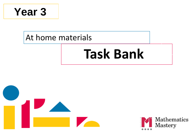

### At home materials

# **Task Bank**



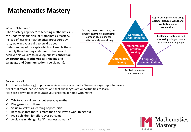#### **Mathematics Mastery**

#### What is 'Mastery'?

The 'mastery approach' to teaching mathematics is the underlying principle of Mathematics Mastery. Instead of learning mathematical procedures by rote, we want your child to build a deep understanding of concepts which will enable them to apply their learning in different situations. To achieve this we aim to develop pupils' **Conceptual Understanding, Mathematical Thinking** and **Language and Communication** (see diagram).



#### Success for all

At school we believe all pupils can achieve success in maths. We encourage pupils to have a belief that effort leads to success and that challenges are opportunities to learn. Here are a few tips to encourage your children at home with maths:

- $\checkmark$  Talk to your children about everyday maths
- Play games with them
- Value mistakes as learning opportunities
- Recognise that there is more than one way to work things out
- ✓ Praise children for effort over outcome
- Avoid saying things like "I'm useless at maths"

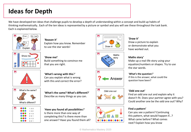### **Ideas for Depth**

We have developed ten ideas that challenge pupils to develop a depth of understanding within a concept and build up habits of thinking mathematically.. Each of the ten ideas is represented by a picture or symbol and you will see these throughout the task bank. Each is explained below.





#### '**Reason it'** Explain how you know. Remember

to use the star words!







Answer

#### '**Draw it'** Draw a picture to explain or demonstrate what you have worked out.

#### **Maths story'**

Make up a real-life story using your equation/numbers or shapes. Try to use the star words.

#### '**What's the question**?'

If this is the answer, what could the question have been?

#### '**Odd one out'**

Find an odd one out and explain why it doesn't fit. Does your partner agree with you? Could another one be the odd one out? Why?

#### **Find a pattern'**

Can you see a pattern? Continuing this pattern, what would happen if...? What came before? What comes next? Explain how you know







'**What's wrong with this**?' Can you explain what is wrong with this and correct the error?

'**What's the same? What's different?**' Describe as many things as you can.

'**Have you found all possibilities**?' Is there more than one way of completing this? Is there more than one answer? Have you found them all?



Odd one out



#### © Mathematics Mastery 2020

M

M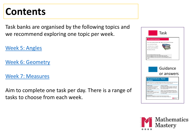## **Contents**

Task banks are organised by the following topics and we recommend exploring one topic per week.

[Week 5: Angles](#page-4-0)

[Week 6: Geometry](#page-11-0)

[Week 7: Measures](#page-19-0)

Aim to complete one task per day. There is a range of tasks to choose from each week.



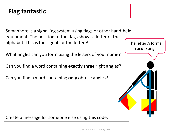### <span id="page-4-0"></span>**Flag fantastic**

Semaphore is a signalling system using flags or other hand-held equipment. The position of the flags shows a letter of the alphabet. This is the signal for the letter A.

What angles can you form using the letters of your name?

Can you find a word containing **exactly three** right angles?

Can you find a word containing **only** obtuse angles?

The letter A forms an acute angle.

Create a message for someone else using this code.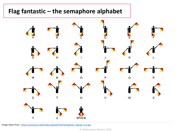#### **Flag fantastic – the semaphore alphabet**



Image taken from: [https://commons.wikimedia.org/wiki/File:Semaphore\\_Signals\\_A-Z.jpg](https://commons.wikimedia.org/wiki/File:Semaphore_Signals_A-Z.jpg)

© Mathematics Mastery 2020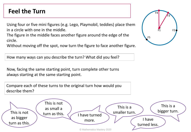### **Feel the Turn**

Using four or five mini figures (e.g. Lego, Playmobil, teddies) place them in a circle with one in the middle.

The figure in the middle faces another figure around the edge of the circle.

Without moving off the spot, now turn the figure to face another figure.

How many ways can you describe the turn? What did you feel?

Now, facing the same starting point, turn complete other turns always starting at the same starting point.

Compare each of these turns to the original turn how would you describe them?



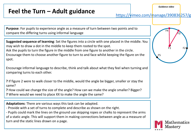### **Feel the Turn – Adult guidance**

https://vimeo.com/manage/390836257/g

**Purpose**: For pupils to experience angle as a measure of turn between two points and to compare the differing turns using informal language

**Suggested sequence of learning**: Set the figures into a circle with one placed in the middle. You may wish to draw a dot in the middle to keep them rooted to the spot. Ask the pupils to turn the figure in the middle from one figure to another in the circle. Encourage them to choose another figure to turn to and face whilst keeping the figure on the spot.

Encourage informal language to describe, think and talk about what they feel when turning and comparing turns to each other.

**?** If figure 2 were to walk closer to the middle, would the angle be bigger, smaller or stay the same?

**?** How could we change the size of the angle? How can we make the angle smaller? Bigger?

**?** Where would we need to place XX to make the angle the same?

**Adaptations**: There are various ways this task can be adapted.

- Provide with a set of turns to complete and describe as shown on the right.

- Pupils could mark the lines on the ground use skipping ropes or chalks to represent the arms of a static angle. This will support them in making connections between angle as a measure of turn and the static lines drawn on a page.



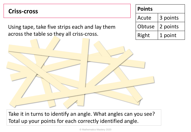#### **Criss-cross**

Using tape, take five strips each and lay them across the table so they all criss-cross.

| <b>Points</b> |          |
|---------------|----------|
| Acute         | 3 points |
| Obtuse        | 2 points |
| Right         | 1 point  |

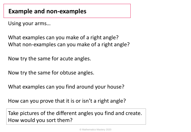Using your arms…

What examples can you make of a right angle? What non-examples can you make of a right angle?

Now try the same for acute angles.

Now try the same for obtuse angles.

What examples can you find around your house?

How can you prove that it is or isn't a right angle?

Take pictures of the different angles you find and create. How would you sort them?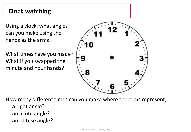### **Clock watching**

Using a clock, what angles can you make using the hands as the arms?

What times have you made? What if you swapped the minute and hour hands?



How many different times can you make where the arms represent;

- a right angle?
- an acute angle?
- an obtuse angle?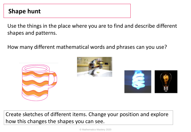### <span id="page-11-0"></span>**Shape hunt**

Use the things in the place where you are to find and describe different shapes and patterns.

How many different mathematical words and phrases can you use?







Create sketches of different items. Change your position and explore how this changes the shapes you can see.

© Mathematics Mastery 2020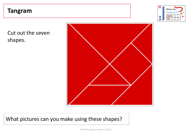#### **Tangram**



Cut out the seven shapes.



What pictures can you make using these shapes?

© Mathematics Mastery 2020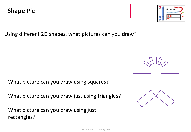Using different 2D shapes, what pictures can you draw?

What picture can you draw using squares?

What picture can you draw just using triangles?

What picture can you draw using just rectangles?



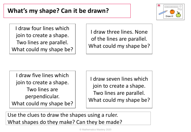

I draw four lines which join to create a shape. Two lines are parallel. What could my shape be?

I draw three lines. None of the lines are parallel. What could my shape be?

I draw five lines which join to create a shape. Two lines are perpendicular. What could my shape be?

I draw seven lines which join to create a shape. Two lines are parallel. What could my shape be?

Use the clues to draw the shapes using a ruler. What shapes do they make? Can they be made?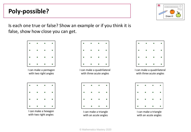### **Poly-possible?**



Is each one true or false? Show an example or if you think it is false, show how close you can get.



with two right angles



I can make a quadrilateral with three acute angles



I can make a triangle with an acute angles



I can make a quadrilateral with three acute angles



I can make a triangle with an acute angles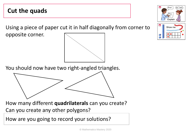#### **Cut the quads**

Using a piece of paper cut it in half diagonally from corner to

opposite corner.



How many different **quadrilaterals** can you create? Can you create any other polygons?

How are you going to record your solutions?





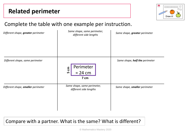

#### Complete the table with one example per instruction.

| Different shape, greater perimeter | Same shape, same perimeter,<br>different side lengths | Same shape, greater perimeter  |
|------------------------------------|-------------------------------------------------------|--------------------------------|
| Different shape, same perimeter    | Perimeter<br>ξ<br>$= 24 cm$<br>ம<br>7 cm              | Same shape, half the perimeter |
| Different shape, smaller perimeter | Same shape, same perimeter,<br>different side lengths | Same shape, smaller perimeter  |

Compare with a partner. What is the same? What is different?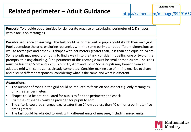### **Related perimeter – Adult Guidance**

https://vimeo.com/manage/39291657

**Purpose**: To provide opportunities for deliberate practice of calculating perimeter of 2-D shapes, with a focus on rectangles.

**Possible sequence of learning**: The task could be printed out or pupils could sketch their own grid. Pupils complete the grid, exploring rectangles with the same perimeter but different dimensions as well as rectangles and other 2-D shapes with perimeters greater than, less than and equal to 24 cm. Some pupils may need prompting to find a way in to the task: consider modelling one or two of the prompts, thinking aloud e.g. 'The perimeter of this rectangle must be smaller than 24 cm. The sides must be less than 5 cm and 7 cm. I could try 4 cm and 6 cm.' Some pupils may benefit from an adapted grid with some zones already completed. Consider making use of mini-plenaries to share and discuss different responses, considering what is the same and what is different.

#### **Adaptations**:

- The number of zones in the grid could be reduced to focus on one aspect e.g. only rectangles, only greater perimeters
- Shapes could be pre-populated for pupils to find the perimeter and check
- Examples of shapes could be provided for pupils to sort
- The criteria could be changed e.g. 'greater than 24 cm but less than 40 cm' or 'a perimeter five times greater'
- The task could be adapted to work with different units of measure, including mixed units

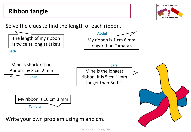<span id="page-19-0"></span>

What is known?

© Mathematics Mastery 2020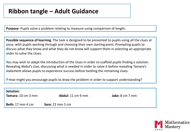### **Ribbon tangle – Adult Guidance**

**Purpose**: Pupils solve a problem relating to measure using comparison of length.

**Possible sequence of learning**: The task is designed to be presented to pupils using all the clues at once, with pupils working through and choosing their own starting point. Prompting pupils to discuss what they know and what they do not know will support them in selecting an appropriate order to solve the clues.

You may wish to adapt the introduction of the clues in order to scaffold pupils finding a solution. Revealing Abdul's clue, discussing what is needed in order to solve it before revealing Tamara's statement allows pupils to experience success before tackling the remaining clues.

**?** How might you encourage pupils to draw the problem in order to support understanding?

| <b>Solution:</b><br><b>Tamara:</b> 10 cm 3 mm | Abdul: $11 \text{ cm}$ 9 mm       | Jake: $8 \text{ cm}$ 7 mm |
|-----------------------------------------------|-----------------------------------|---------------------------|
| <b>Beth:</b> 17 mm 4 cm                       | <b>Sara:</b> $22 \text{ mm}$ 5 cm |                           |

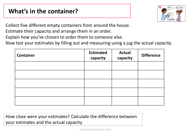### **What's in the container?**



Collect five different empty containers from around the house.

Estimate their capacity and arrange them in an order.

Explain how you've chosen to order them to someone else.

Now test your estimates by filling out and measuring using a jug the actual capacity.

| <b>Container</b> | <b>Estimated</b><br>capacity | <b>Actual</b><br>capacity | <b>Difference</b> |
|------------------|------------------------------|---------------------------|-------------------|
|                  |                              |                           |                   |
|                  |                              |                           |                   |
|                  |                              |                           |                   |
|                  |                              |                           |                   |
|                  |                              |                           |                   |

How close were your estimates? Calculate the difference between your estimates and the actual capacity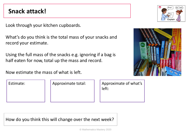#### **Snack attack!**

Look through your kitchen cupboards.

What's do you think is the total mass of your snacks and record your estimate.

Using the full mass of the snacks e.g. ignoring if a bag is half eaten for now, total up the mass and record.

Now estimate the mass of what is left.

Estimate: **Approximate total:** Approximate of what's left:

How do you think this will change over the next week?